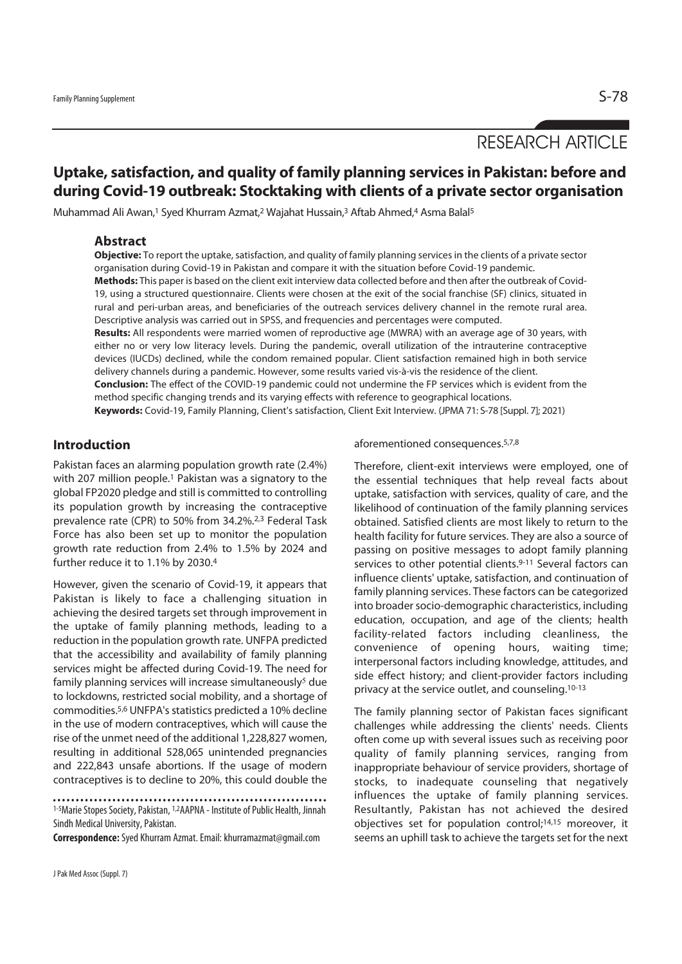# RESEARCH ARTICLE

## **Uptake, satisfaction, and quality of family planning services in Pakistan: before and during Covid-19 outbreak: Stocktaking with clients of a private sector organisation**

Muhammad Ali Awan,1 Syed Khurram Azmat,2 Wajahat Hussain,3 Aftab Ahmed,4 Asma Balal5

#### **Abstract**

**Objective:** To report the uptake, satisfaction, and quality of family planning services in the clients of a private sector organisation during Covid-19 in Pakistan and compare it with the situation before Covid-19 pandemic.

**Methods:** This paper is based on the client exit interview data collected before and then after the outbreak of Covid-19, using a structured questionnaire. Clients were chosen at the exit of the social franchise (SF) clinics, situated in rural and peri-urban areas, and beneficiaries of the outreach services delivery channel in the remote rural area. Descriptive analysis was carried out in SPSS, and frequencies and percentages were computed.

**Results:** All respondents were married women of reproductive age (MWRA) with an average age of 30 years, with either no or very low literacy levels. During the pandemic, overall utilization of the intrauterine contraceptive devices (IUCDs) declined, while the condom remained popular. Client satisfaction remained high in both service delivery channels during a pandemic. However, some results varied vis-à-vis the residence of the client.

**Conclusion:** The effect of the COVID-19 pandemic could not undermine the FP services which is evident from the method specific changing trends and its varying effects with reference to geographical locations.

**Keywords:** Covid-19, Family Planning, Client's satisfaction, Client Exit Interview. (JPMA 71: S-78 [Suppl. 7]; 2021)

### **Introduction**

Pakistan faces an alarming population growth rate (2.4%) with 207 million people.<sup>1</sup> Pakistan was a signatory to the global FP2020 pledge and still is committed to controlling its population growth by increasing the contraceptive prevalence rate (CPR) to 50% from 34.2%.2,3 Federal Task Force has also been set up to monitor the population growth rate reduction from 2.4% to 1.5% by 2024 and further reduce it to 1.1% by 2030.4

However, given the scenario of Covid-19, it appears that Pakistan is likely to face a challenging situation in achieving the desired targets set through improvement in the uptake of family planning methods, leading to a reduction in the population growth rate. UNFPA predicted that the accessibility and availability of family planning services might be affected during Covid-19. The need for family planning services will increase simultaneously<sup>5</sup> due to lockdowns, restricted social mobility, and a shortage of commodities.5,6 UNFPA's statistics predicted a 10% decline in the use of modern contraceptives, which will cause the rise of the unmet need of the additional 1,228,827 women, resulting in additional 528,065 unintended pregnancies and 222,843 unsafe abortions. If the usage of modern contraceptives is to decline to 20%, this could double the

**Correspondence:** Syed Khurram Azmat. Email: khurramazmat@gmail.com

J Pak Med Assoc (Suppl. 7)

aforementioned consequences.5,7,8

Therefore, client-exit interviews were employed, one of the essential techniques that help reveal facts about uptake, satisfaction with services, quality of care, and the likelihood of continuation of the family planning services obtained. Satisfied clients are most likely to return to the health facility for future services. They are also a source of passing on positive messages to adopt family planning services to other potential clients.<sup>9-11</sup> Several factors can influence clients' uptake, satisfaction, and continuation of family planning services. These factors can be categorized into broader socio-demographic characteristics, including education, occupation, and age of the clients; health facility-related factors including cleanliness, the convenience of opening hours, waiting time; interpersonal factors including knowledge, attitudes, and side effect history; and client-provider factors including privacy at the service outlet, and counseling.10-13

The family planning sector of Pakistan faces significant challenges while addressing the clients' needs. Clients often come up with several issues such as receiving poor quality of family planning services, ranging from inappropriate behaviour of service providers, shortage of stocks, to inadequate counseling that negatively influences the uptake of family planning services. Resultantly, Pakistan has not achieved the desired objectives set for population control;14,15 moreover, it seems an uphill task to achieve the targets set for the next

<sup>1-5</sup>Marie Stopes Society, Pakistan, 1,2AAPNA - Institute of Public Health, Jinnah Sindh Medical University, Pakistan.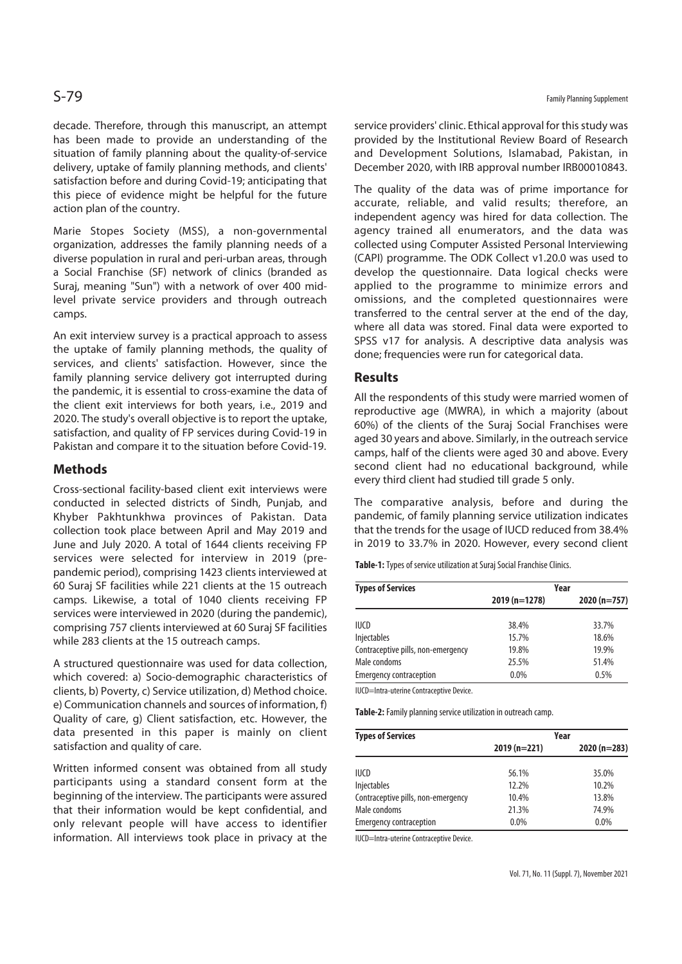decade. Therefore, through this manuscript, an attempt has been made to provide an understanding of the situation of family planning about the quality-of-service delivery, uptake of family planning methods, and clients' satisfaction before and during Covid-19; anticipating that this piece of evidence might be helpful for the future action plan of the country.

Marie Stopes Society (MSS), a non-governmental organization, addresses the family planning needs of a diverse population in rural and peri-urban areas, through a Social Franchise (SF) network of clinics (branded as Suraj, meaning "Sun") with a network of over 400 midlevel private service providers and through outreach camps.

An exit interview survey is a practical approach to assess the uptake of family planning methods, the quality of services, and clients' satisfaction. However, since the family planning service delivery got interrupted during the pandemic, it is essential to cross-examine the data of the client exit interviews for both years, i.e., 2019 and 2020. The study's overall objective is to report the uptake, satisfaction, and quality of FP services during Covid-19 in Pakistan and compare it to the situation before Covid-19.

#### **Methods**

Cross-sectional facility-based client exit interviews were conducted in selected districts of Sindh, Punjab, and Khyber Pakhtunkhwa provinces of Pakistan. Data collection took place between April and May 2019 and June and July 2020. A total of 1644 clients receiving FP services were selected for interview in 2019 (prepandemic period), comprising 1423 clients interviewed at 60 Suraj SF facilities while 221 clients at the 15 outreach camps. Likewise, a total of 1040 clients receiving FP services were interviewed in 2020 (during the pandemic), comprising 757 clients interviewed at 60 Suraj SF facilities while 283 clients at the 15 outreach camps.

A structured questionnaire was used for data collection, which covered: a) Socio-demographic characteristics of clients, b) Poverty, c) Service utilization, d) Method choice. e) Communication channels and sources of information, f) Quality of care, g) Client satisfaction, etc. However, the data presented in this paper is mainly on client satisfaction and quality of care.

Written informed consent was obtained from all study participants using a standard consent form at the beginning of the interview. The participants were assured that their information would be kept confidential, and only relevant people will have access to identifier information. All interviews took place in privacy at the service providers' clinic. Ethical approval for this study was provided by the Institutional Review Board of Research and Development Solutions, Islamabad, Pakistan, in December 2020, with IRB approval number IRB00010843.

The quality of the data was of prime importance for accurate, reliable, and valid results; therefore, an independent agency was hired for data collection. The agency trained all enumerators, and the data was collected using Computer Assisted Personal Interviewing (CAPI) programme. The ODK Collect v1.20.0 was used to develop the questionnaire. Data logical checks were applied to the programme to minimize errors and omissions, and the completed questionnaires were transferred to the central server at the end of the day, where all data was stored. Final data were exported to SPSS v17 for analysis. A descriptive data analysis was done; frequencies were run for categorical data.

#### **Results**

All the respondents of this study were married women of reproductive age (MWRA), in which a majority (about 60%) of the clients of the Suraj Social Franchises were aged 30 years and above. Similarly, in the outreach service camps, half of the clients were aged 30 and above. Every second client had no educational background, while every third client had studied till grade 5 only.

The comparative analysis, before and during the pandemic, of family planning service utilization indicates that the trends for the usage of IUCD reduced from 38.4% in 2019 to 33.7% in 2020. However, every second client

**Table-1:** Types of service utilization at Suraj Social Franchise Clinics.

| <b>Types of Services</b>           | Year           |               |  |
|------------------------------------|----------------|---------------|--|
|                                    | $2019(n=1278)$ | $2020(n=757)$ |  |
| <b>IUCD</b>                        | 38.4%          | 33.7%         |  |
| <b>Injectables</b>                 | 15.7%          | 18.6%         |  |
| Contraceptive pills, non-emergency | 19.8%          | 19.9%         |  |
| Male condoms                       | 25.5%          | 51.4%         |  |
| <b>Emergency contraception</b>     | 0.0%           | 0.5%          |  |

IUCD=Intra-uterine Contraceptive Device.

**Table-2:** Family planning service utilization in outreach camp.

| <b>Types of Services</b>           | Year          |               |  |
|------------------------------------|---------------|---------------|--|
|                                    | $2019(n=221)$ | $2020(n=283)$ |  |
| <b>IUCD</b>                        | 56.1%         | 35.0%         |  |
| <b>Injectables</b>                 | 12.2%         | 10.2%         |  |
| Contraceptive pills, non-emergency | 10.4%         | 13.8%         |  |
| Male condoms                       | 21.3%         | 74.9%         |  |
| <b>Emergency contraception</b>     | 0.0%          | $0.0\%$       |  |

IUCD=Intra-uterine Contraceptive Device.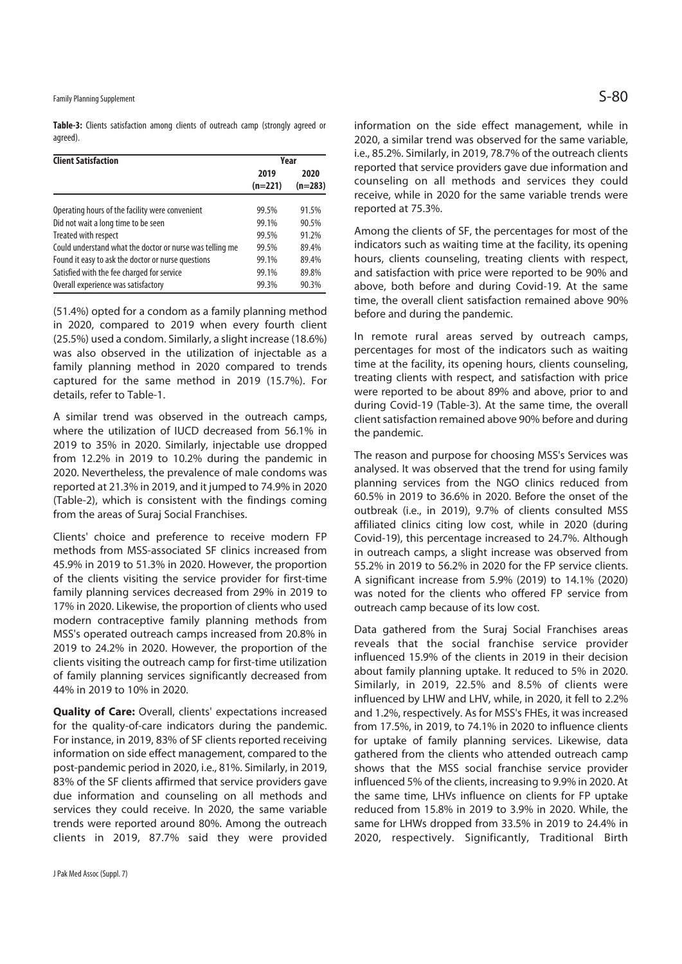Family Planning Supplement  $\mathsf{S}\text{-}\mathsf{80}$ 

**Table-3:** Clients satisfaction among clients of outreach camp (strongly agreed or agreed).

| <b>Client Satisfaction</b>                               | Year              |                   |  |
|----------------------------------------------------------|-------------------|-------------------|--|
|                                                          | 2019<br>$(n=221)$ | 2020<br>$(n=283)$ |  |
| Operating hours of the facility were convenient          | 99.5%             | 91.5%             |  |
| Did not wait a long time to be seen                      | 99.1%             | 90.5%             |  |
| Treated with respect                                     | 99.5%             | 91.2%             |  |
| Could understand what the doctor or nurse was telling me | 99.5%             | 89.4%             |  |
| Found it easy to ask the doctor or nurse questions       | 99.1%             | 89.4%             |  |
| Satisfied with the fee charged for service               | 99.1%             | 89.8%             |  |
| Overall experience was satisfactory                      | 99.3%             | 90.3%             |  |

(51.4%) opted for a condom as a family planning method in 2020, compared to 2019 when every fourth client (25.5%) used a condom. Similarly, a slight increase (18.6%) was also observed in the utilization of injectable as a family planning method in 2020 compared to trends captured for the same method in 2019 (15.7%). For details, refer to Table-1.

A similar trend was observed in the outreach camps, where the utilization of IUCD decreased from 56.1% in 2019 to 35% in 2020. Similarly, injectable use dropped from 12.2% in 2019 to 10.2% during the pandemic in 2020. Nevertheless, the prevalence of male condoms was reported at 21.3% in 2019, and it jumped to 74.9% in 2020 (Table-2), which is consistent with the findings coming from the areas of Suraj Social Franchises.

Clients' choice and preference to receive modern FP methods from MSS-associated SF clinics increased from 45.9% in 2019 to 51.3% in 2020. However, the proportion of the clients visiting the service provider for first-time family planning services decreased from 29% in 2019 to 17% in 2020. Likewise, the proportion of clients who used modern contraceptive family planning methods from MSS's operated outreach camps increased from 20.8% in 2019 to 24.2% in 2020. However, the proportion of the clients visiting the outreach camp for first-time utilization of family planning services significantly decreased from 44% in 2019 to 10% in 2020.

**Quality of Care:** Overall, clients' expectations increased for the quality-of-care indicators during the pandemic. For instance, in 2019, 83% of SF clients reported receiving information on side effect management, compared to the post-pandemic period in 2020, i.e., 81%. Similarly, in 2019, 83% of the SF clients affirmed that service providers gave due information and counseling on all methods and services they could receive. In 2020, the same variable trends were reported around 80%. Among the outreach clients in 2019, 87.7% said they were provided

information on the side effect management, while in 2020, a similar trend was observed for the same variable, i.e., 85.2%. Similarly, in 2019, 78.7% of the outreach clients reported that service providers gave due information and counseling on all methods and services they could receive, while in 2020 for the same variable trends were reported at 75.3%.

Among the clients of SF, the percentages for most of the indicators such as waiting time at the facility, its opening hours, clients counseling, treating clients with respect, and satisfaction with price were reported to be 90% and above, both before and during Covid-19. At the same time, the overall client satisfaction remained above 90% before and during the pandemic.

In remote rural areas served by outreach camps, percentages for most of the indicators such as waiting time at the facility, its opening hours, clients counseling, treating clients with respect, and satisfaction with price were reported to be about 89% and above, prior to and during Covid-19 (Table-3). At the same time, the overall client satisfaction remained above 90% before and during the pandemic.

The reason and purpose for choosing MSS's Services was analysed. It was observed that the trend for using family planning services from the NGO clinics reduced from 60.5% in 2019 to 36.6% in 2020. Before the onset of the outbreak (i.e., in 2019), 9.7% of clients consulted MSS affiliated clinics citing low cost, while in 2020 (during Covid-19), this percentage increased to 24.7%. Although in outreach camps, a slight increase was observed from 55.2% in 2019 to 56.2% in 2020 for the FP service clients. A significant increase from 5.9% (2019) to 14.1% (2020) was noted for the clients who offered FP service from outreach camp because of its low cost.

Data gathered from the Suraj Social Franchises areas reveals that the social franchise service provider influenced 15.9% of the clients in 2019 in their decision about family planning uptake. It reduced to 5% in 2020. Similarly, in 2019, 22.5% and 8.5% of clients were influenced by LHW and LHV, while, in 2020, it fell to 2.2% and 1.2%, respectively. As for MSS's FHEs, it was increased from 17.5%, in 2019, to 74.1% in 2020 to influence clients for uptake of family planning services. Likewise, data gathered from the clients who attended outreach camp shows that the MSS social franchise service provider influenced 5% of the clients, increasing to 9.9% in 2020. At the same time, LHVs influence on clients for FP uptake reduced from 15.8% in 2019 to 3.9% in 2020. While, the same for LHWs dropped from 33.5% in 2019 to 24.4% in 2020, respectively. Significantly, Traditional Birth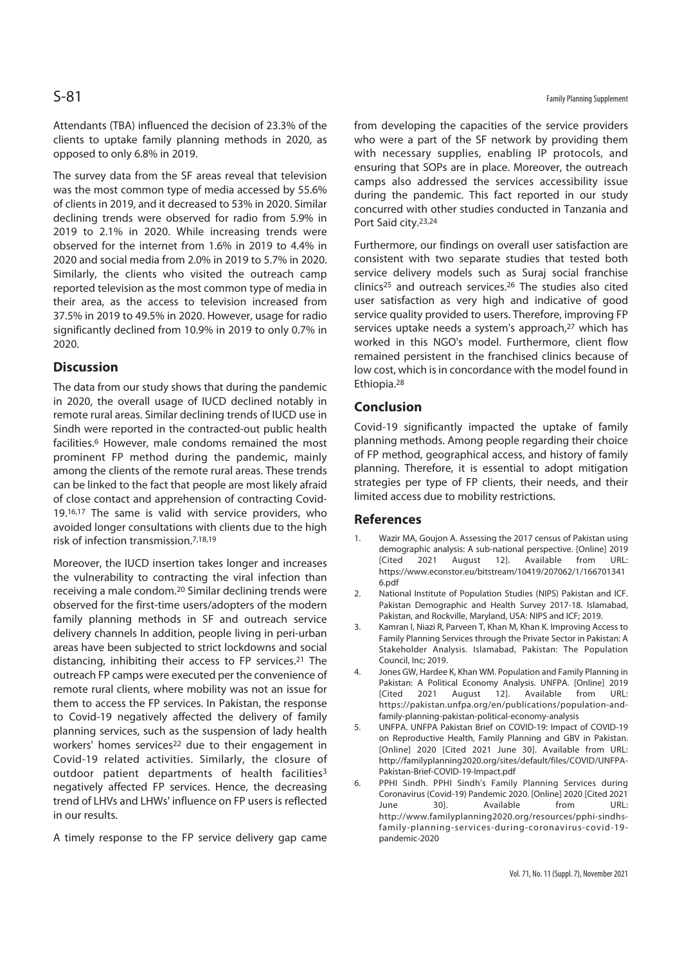Attendants (TBA) influenced the decision of 23.3% of the clients to uptake family planning methods in 2020, as opposed to only 6.8% in 2019.

The survey data from the SF areas reveal that television was the most common type of media accessed by 55.6% of clients in 2019, and it decreased to 53% in 2020. Similar declining trends were observed for radio from 5.9% in 2019 to 2.1% in 2020. While increasing trends were observed for the internet from 1.6% in 2019 to 4.4% in 2020 and social media from 2.0% in 2019 to 5.7% in 2020. Similarly, the clients who visited the outreach camp reported television as the most common type of media in their area, as the access to television increased from 37.5% in 2019 to 49.5% in 2020. However, usage for radio significantly declined from 10.9% in 2019 to only 0.7% in 2020.

#### **Discussion**

The data from our study shows that during the pandemic in 2020, the overall usage of IUCD declined notably in remote rural areas. Similar declining trends of IUCD use in Sindh were reported in the contracted-out public health facilities.6 However, male condoms remained the most prominent FP method during the pandemic, mainly among the clients of the remote rural areas. These trends can be linked to the fact that people are most likely afraid of close contact and apprehension of contracting Covid-19.16,17 The same is valid with service providers, who avoided longer consultations with clients due to the high risk of infection transmission.7,18,19

Moreover, the IUCD insertion takes longer and increases the vulnerability to contracting the viral infection than receiving a male condom.20 Similar declining trends were observed for the first-time users/adopters of the modern family planning methods in SF and outreach service delivery channels In addition, people living in peri-urban areas have been subjected to strict lockdowns and social distancing, inhibiting their access to FP services.21 The outreach FP camps were executed per the convenience of remote rural clients, where mobility was not an issue for them to access the FP services. In Pakistan, the response to Covid-19 negatively affected the delivery of family planning services, such as the suspension of lady health workers' homes services<sup>22</sup> due to their engagement in Covid-19 related activities. Similarly, the closure of outdoor patient departments of health facilities<sup>3</sup> negatively affected FP services. Hence, the decreasing trend of LHVs and LHWs' influence on FP users is reflected in our results.

A timely response to the FP service delivery gap came

from developing the capacities of the service providers who were a part of the SF network by providing them with necessary supplies, enabling IP protocols, and ensuring that SOPs are in place. Moreover, the outreach camps also addressed the services accessibility issue during the pandemic. This fact reported in our study concurred with other studies conducted in Tanzania and Port Said city.23,24

Furthermore, our findings on overall user satisfaction are consistent with two separate studies that tested both service delivery models such as Surai social franchise clinics25 and outreach services.26 The studies also cited user satisfaction as very high and indicative of good service quality provided to users. Therefore, improving FP services uptake needs a system's approach,<sup>27</sup> which has worked in this NGO's model. Furthermore, client flow remained persistent in the franchised clinics because of low cost, which is in concordance with the model found in Ethiopia.28

### **Conclusion**

Covid-19 significantly impacted the uptake of family planning methods. Among people regarding their choice of FP method, geographical access, and history of family planning. Therefore, it is essential to adopt mitigation strategies per type of FP clients, their needs, and their limited access due to mobility restrictions.

#### **References**

- 1. Wazir MA, Goujon A. Assessing the 2017 census of Pakistan using demographic analysis: A sub-national perspective. [Online] 2019 [Cited 2021 August 12]. Available from URL: https://www.econstor.eu/bitstream/10419/207062/1/166701341 6.pdf
- 2. National Institute of Population Studies (NIPS) Pakistan and ICF. Pakistan Demographic and Health Survey 2017-18. Islamabad, Pakistan, and Rockville, Maryland, USA: NIPS and ICF; 2019.
- 3. Kamran I, Niazi R, Parveen T, Khan M, Khan K. Improving Access to Family Planning Services through the Private Sector in Pakistan: A Stakeholder Analysis. Islamabad, Pakistan: The Population Council, Inc; 2019.
- 4. Jones GW, Hardee K, Khan WM. Population and Family Planning in Pakistan: A Political Economy Analysis. UNFPA. [Online] 2019 [Cited 2021 August 12]. Available from URL: https://pakistan.unfpa.org/en/publications/population-andfamily-planning-pakistan-political-economy-analysis
- 5. UNFPA. UNFPA Pakistan Brief on COVID-19: Impact of COVID-19 on Reproductive Health, Family Planning and GBV in Pakistan. [Online] 2020 [Cited 2021 June 30]. Available from URL: http://familyplanning2020.org/sites/default/files/COVID/UNFPA-Pakistan-Brief-COVID-19-Impact.pdf
- 6. PPHI Sindh. PPHI Sindh's Family Planning Services during Coronavirus (Covid-19) Pandemic 2020. [Online] 2020 [Cited 2021 June 30]. Available from URL: http://www.familyplanning2020.org/resources/pphi-sindhsfamily-planning-services-during-coronavirus-covid-19 pandemic-2020